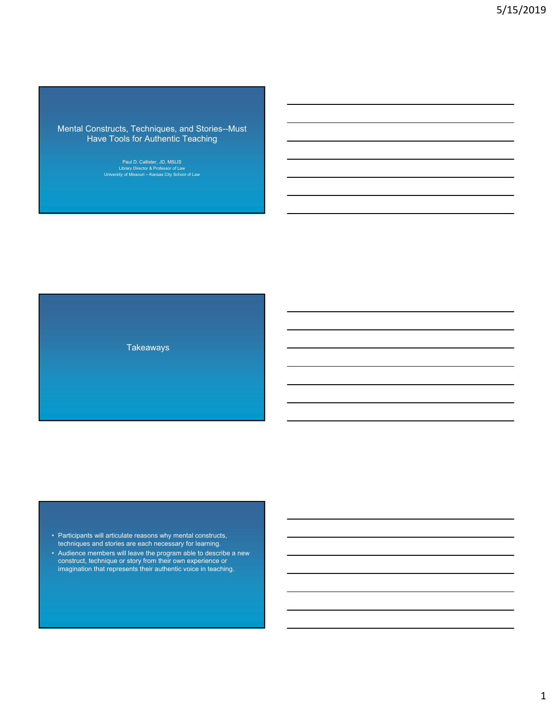Mental Constructs, Techniques, and Stories--Must Have Tools for Authentic Teaching

Paul D. Callister, JD, MSLIS Library Director & Professor of Law University of Missouri – Kansas City School of Law

Takeaways

• Participants will articulate reasons why mental constructs, techniques and stories are each necessary for learning.

• Audience members will leave the program able to describe a new construct, technique or story from their own experience or imagination that represents their authentic voice in teaching.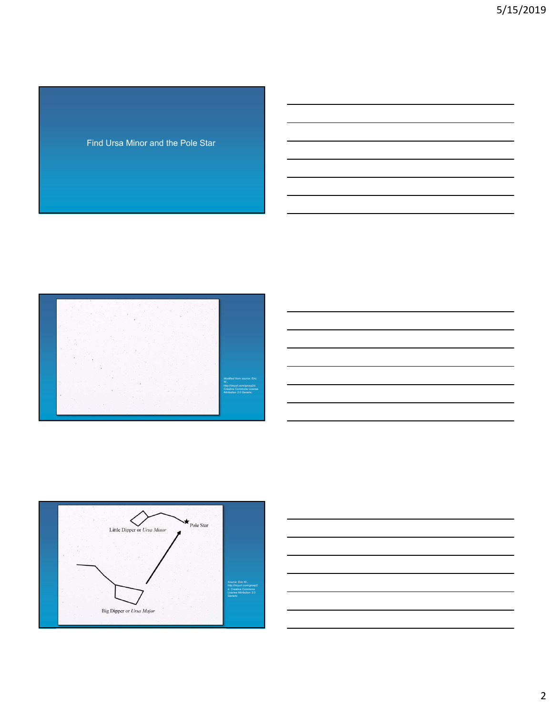Find Ursa Minor and the Pole Star





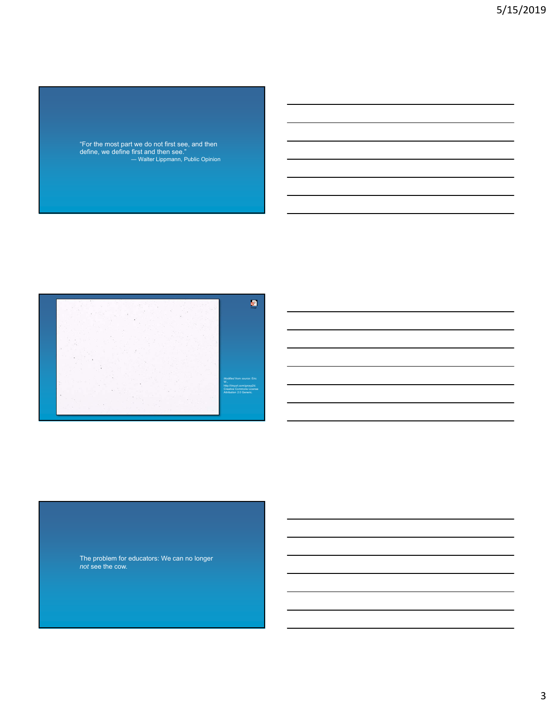"For the most part we do not first see, and then define, we define first and then see." ― Walter Lippmann, Public Opinion



The problem for educators: We can no longer *not* see the cow.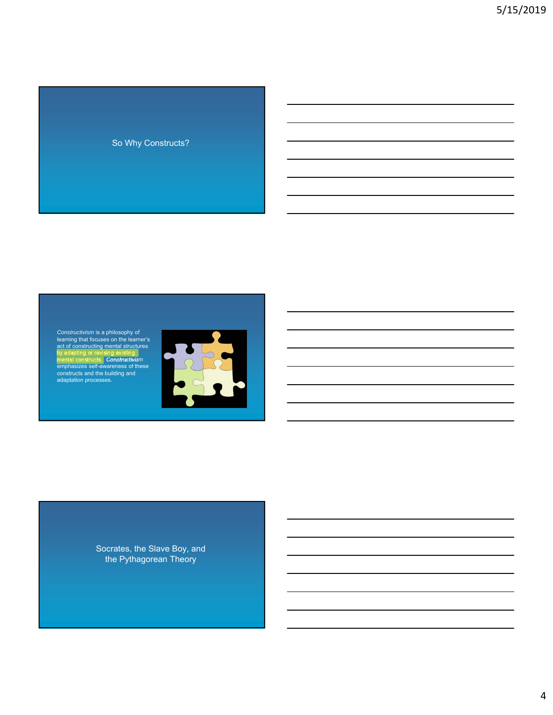### So Why Constructs?

Constructivism is a philosophy of<br>learning that focuses on the learner's<br>act of constructing mental structures<br>by adapting or revising existing<br>mental constructs. Constructivism<br>emphasizes self-awareness of these<br>construct



Socrates, the Slave Boy, and the Pythagorean Theory

4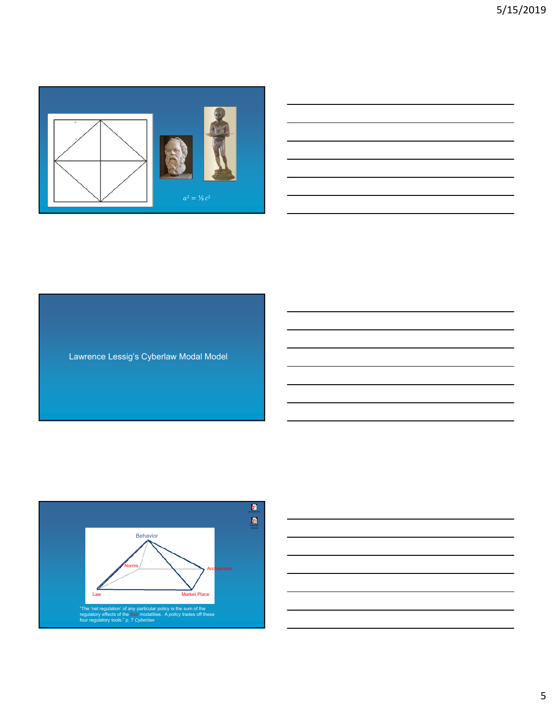

Lawrence Lessig's Cyberlaw Modal Model



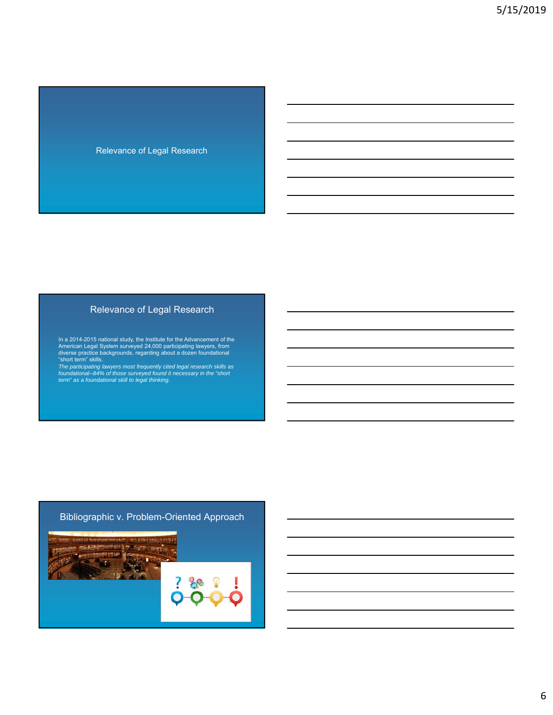#### Relevance of Legal Research

## Relevance of Legal Research

In a 2014-2015 national study, the Institute for the Advancement of the American Legal System surveyed 24,000 participating lawyers, from diverse practice backgrounds, regarding about a dozen foundational "short term" ski

## Bibliographic v. Problem-Oriented Approach

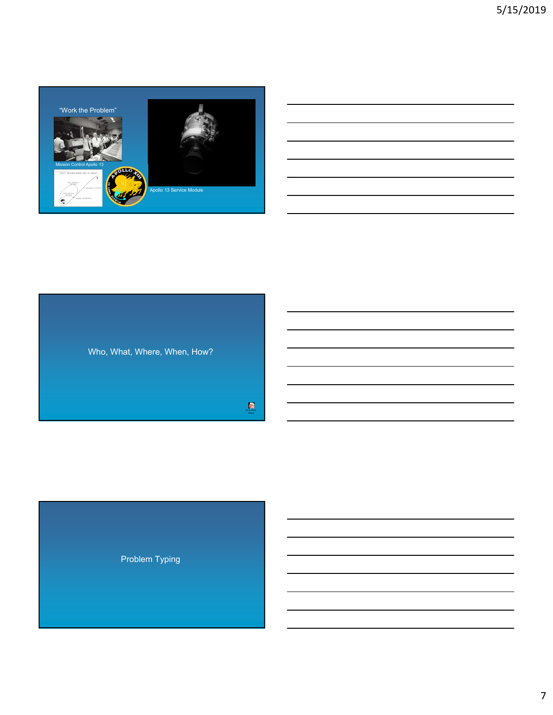



Who, What,

Problem Typing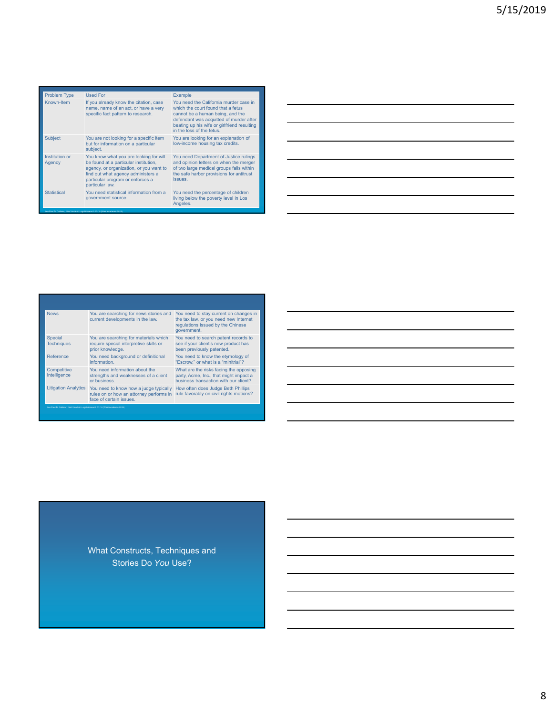| <b>Problem Type</b>                                                              | Used For                                                                                                                                                                                                                | Example                                                                                                                                                                                                                                 |  |  |  |
|----------------------------------------------------------------------------------|-------------------------------------------------------------------------------------------------------------------------------------------------------------------------------------------------------------------------|-----------------------------------------------------------------------------------------------------------------------------------------------------------------------------------------------------------------------------------------|--|--|--|
| Known-Item                                                                       | If you already know the citation, case<br>name, name of an act, or have a very<br>specific fact pattern to research.                                                                                                    | You need the California murder case in<br>which the court found that a fetus<br>cannot be a human being, and the<br>defendant was acquitted of murder after<br>beating up his wife or girlfriend resulting<br>in the loss of the fetus. |  |  |  |
| <b>Subject</b>                                                                   | You are not looking for a specific item<br>but for information on a particular<br>subject.                                                                                                                              | You are looking for an explanation of<br>low-income housing tax credits.                                                                                                                                                                |  |  |  |
| Institution or<br>Agency                                                         | You know what you are looking for will<br>be found at a particular institution,<br>agency, or organization, or you want to<br>find out what agency administers a<br>particular program or enforces a<br>particular law. | You need Department of Justice rulings<br>and opinion letters on when the merger<br>of two large medical groups falls within<br>the safe harbor provisions for antitrust<br>issues.                                                     |  |  |  |
| <b>Statistical</b>                                                               | You need statistical information from a<br>government source.                                                                                                                                                           | You need the percentage of children<br>living below the poverty level in Los<br>Angeles.                                                                                                                                                |  |  |  |
| See Paul D. Callister, Field Guide to Legal Research 17-18 (West Academic 2019). |                                                                                                                                                                                                                         |                                                                                                                                                                                                                                         |  |  |  |

| <b>News</b>                                                                     | You are searching for news stories and<br>current developments in the law.                                   | You need to stay current on changes in<br>the tax law, or you need new Internet<br>regulations issued by the Chinese<br>government. |  |  |
|---------------------------------------------------------------------------------|--------------------------------------------------------------------------------------------------------------|-------------------------------------------------------------------------------------------------------------------------------------|--|--|
| Special<br><b>Techniques</b>                                                    | You are searching for materials which<br>require special interpretive skills or<br>prior knowledge.          | You need to search patent records to<br>see if your client's new product has<br>been previously patented.                           |  |  |
| Reference                                                                       | You need background or definitional<br>information.                                                          | You need to know the etymology of<br>"Escrow." or what is a "minitrial"?                                                            |  |  |
| Competitive<br>Intelligence                                                     | You need information about the<br>strengths and weaknesses of a client<br>or business.                       | What are the risks facing the opposing<br>party, Acme, Inc., that might impact a<br>business transaction with our client?           |  |  |
| <b>Litigation Analytics</b>                                                     | You need to know how a judge typically<br>rules on or how an attorney performs in<br>face of certain issues. | How often does Judge Beth Phillips<br>rule favorably on civil rights motions?                                                       |  |  |
| See Paul D. Callister, Field Guide to Legal Research 17-18 (West Academic 2019) |                                                                                                              |                                                                                                                                     |  |  |

What Constructs, Techniques and Stories Do *You* Use?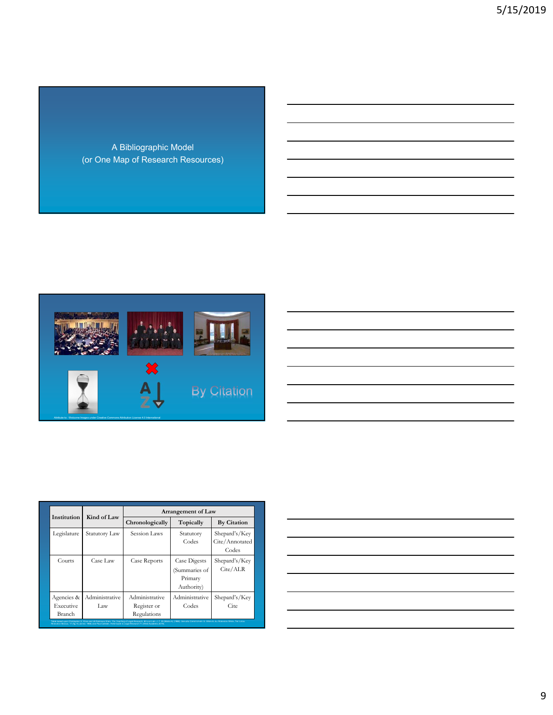A Bibliographic Model (or One Map of Research Resources)



| <u> 1989 - Johann Harry Harry Harry Harry Harry Harry Harry Harry Harry Harry Harry Harry Harry Harry Harry Harry</u> |  |  |
|-----------------------------------------------------------------------------------------------------------------------|--|--|
|                                                                                                                       |  |  |
|                                                                                                                       |  |  |
|                                                                                                                       |  |  |
|                                                                                                                       |  |  |
|                                                                                                                       |  |  |

|                                   | Kind of Law           | Arrangement of Law                           |                                                        |                                          |  |
|-----------------------------------|-----------------------|----------------------------------------------|--------------------------------------------------------|------------------------------------------|--|
| Institution                       |                       | Chronologically                              | Topically                                              | <b>By Citation</b>                       |  |
| Legislature                       | Statutory Law         | Session Laws                                 | Statutory<br>Codes                                     | Shepard's/Key<br>Cite/Annotated<br>Codes |  |
| Courts                            | Case Law              | Case Reports                                 | Case Digests<br>(Summaries of<br>Primary<br>Authority) | Shepard's/Key<br>Cite/ALR                |  |
| Agencies &<br>Executive<br>Branch | Administrative<br>Law | Administrative<br>Register or<br>Regulations | Administrative<br>Codes                                | Shepard's/Key<br>Cite                    |  |